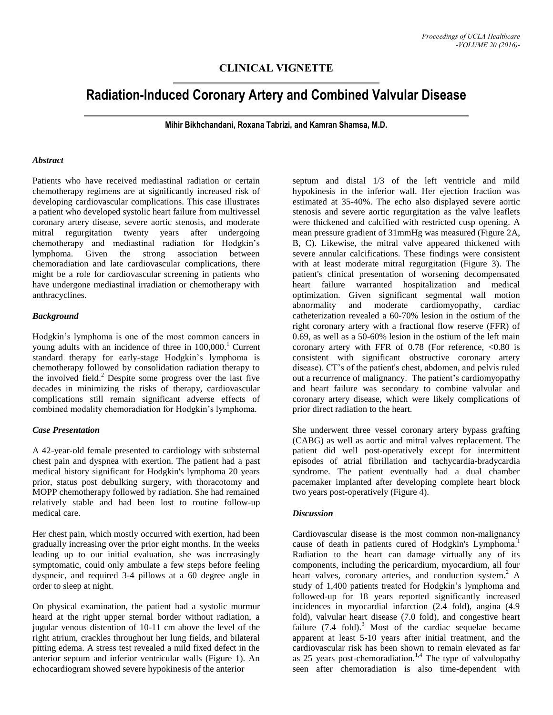# **CLINICAL VIGNETTE**

# **Radiation-Induced Coronary Artery and Combined Valvular Disease**

**Mihir Bikhchandani, Roxana Tabrizi, and Kamran Shamsa, M.D.**

### *Abstract*

Patients who have received mediastinal radiation or certain chemotherapy regimens are at significantly increased risk of developing cardiovascular complications. This case illustrates a patient who developed systolic heart failure from multivessel coronary artery disease, severe aortic stenosis, and moderate mitral regurgitation twenty years after undergoing chemotherapy and mediastinal radiation for Hodgkin's lymphoma. Given the strong association between chemoradiation and late cardiovascular complications, there might be a role for cardiovascular screening in patients who have undergone mediastinal irradiation or chemotherapy with anthracyclines.

### *Background*

Hodgkin's lymphoma is one of the most common cancers in young adults with an incidence of three in 100,000. <sup>1</sup> Current standard therapy for early-stage Hodgkin's lymphoma is chemotherapy followed by consolidation radiation therapy to the involved field. <sup>2</sup> Despite some progress over the last five decades in minimizing the risks of therapy, cardiovascular complications still remain significant adverse effects of combined modality chemoradiation for Hodgkin's lymphoma.

# *Case Presentation*

A 42-year-old female presented to cardiology with substernal chest pain and dyspnea with exertion. The patient had a past medical history significant for Hodgkin's lymphoma 20 years prior, status post debulking surgery, with thoracotomy and MOPP chemotherapy followed by radiation. She had remained relatively stable and had been lost to routine follow-up medical care.

Her chest pain, which mostly occurred with exertion, had been gradually increasing over the prior eight months. In the weeks leading up to our initial evaluation, she was increasingly symptomatic, could only ambulate a few steps before feeling dyspneic, and required 3-4 pillows at a 60 degree angle in order to sleep at night.

On physical examination, the patient had a systolic murmur heard at the right upper sternal border without radiation, a jugular venous distention of 10-11 cm above the level of the right atrium, crackles throughout her lung fields, and bilateral pitting edema. A stress test revealed a mild fixed defect in the anterior septum and inferior ventricular walls (Figure 1). An echocardiogram showed severe hypokinesis of the anterior

septum and distal 1/3 of the left ventricle and mild hypokinesis in the inferior wall. Her ejection fraction was estimated at 35-40%. The echo also displayed severe aortic stenosis and severe aortic regurgitation as the valve leaflets were thickened and calcified with restricted cusp opening. A mean pressure gradient of 31mmHg was measured (Figure 2A, B, C). Likewise, the mitral valve appeared thickened with severe annular calcifications. These findings were consistent with at least moderate mitral regurgitation (Figure 3). The patient's clinical presentation of worsening decompensated heart failure warranted hospitalization and medical optimization. Given significant segmental wall motion abnormality and moderate cardiomyopathy, cardiac catheterization revealed a 60-70% lesion in the ostium of the right coronary artery with a fractional flow reserve (FFR) of 0.69, as well as a 50-60% lesion in the ostium of the left main coronary artery with FFR of  $0.78$  (For reference,  $< 0.80$  is consistent with significant obstructive coronary artery disease). CT's of the patient's chest, abdomen, and pelvis ruled out a recurrence of malignancy. The patient's cardiomyopathy and heart failure was secondary to combine valvular and coronary artery disease, which were likely complications of prior direct radiation to the heart.

She underwent three vessel coronary artery bypass grafting (CABG) as well as aortic and mitral valves replacement. The patient did well post-operatively except for intermittent episodes of atrial fibrillation and tachycardia-bradycardia syndrome. The patient eventually had a dual chamber pacemaker implanted after developing complete heart block two years post-operatively (Figure 4).

### *Discussion*

Cardiovascular disease is the most common non-malignancy cause of death in patients cured of Hodgkin's Lymphoma.<sup>1</sup> Radiation to the heart can damage virtually any of its components, including the pericardium, myocardium, all four heart valves, coronary arteries, and conduction system. <sup>2</sup> A study of 1,400 patients treated for Hodgkin's lymphoma and followed-up for 18 years reported significantly increased incidences in myocardial infarction (2.4 fold), angina (4.9 fold), valvular heart disease (7.0 fold), and congestive heart failure (7.4 fold).<sup>3</sup> Most of the cardiac sequelae became apparent at least 5-10 years after initial treatment, and the cardiovascular risk has been shown to remain elevated as far as 25 years post-chemoradiation.<sup>1,4</sup> The type of valvulopathy seen after chemoradiation is also time-dependent with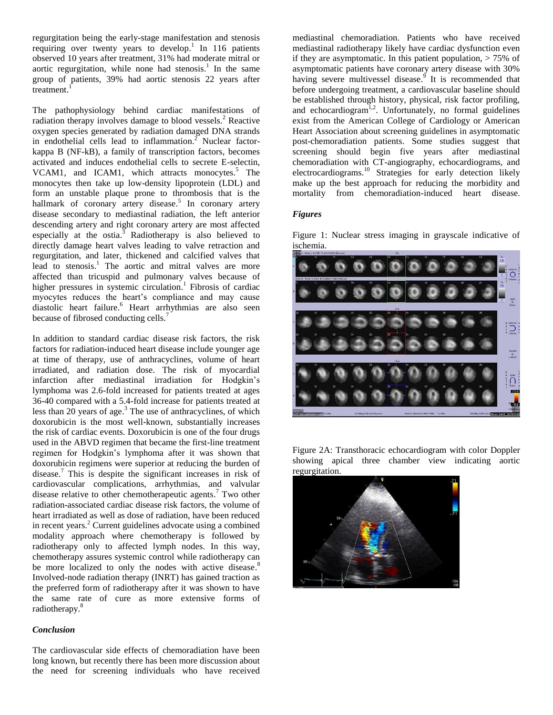regurgitation being the early-stage manifestation and stenosis requiring over twenty years to develop.<sup>1</sup> In 116 patients observed 10 years after treatment, 31% had moderate mitral or aortic regurgitation, while none had stenosis.<sup>1</sup> In the same group of patients, 39% had aortic stenosis 22 years after  $t$ reatment.<sup>1</sup>

The pathophysiology behind cardiac manifestations of radiation therapy involves damage to blood vessels.<sup>2</sup> Reactive oxygen species generated by radiation damaged DNA strands in endothelial cells lead to inflammation. <sup>2</sup> Nuclear factorkappa B (NF-kB), a family of transcription factors, becomes activated and induces endothelial cells to secrete E-selectin, VCAM1, and ICAM1, which attracts monocytes.<sup>5</sup> The monocytes then take up low-density lipoprotein (LDL) and form an unstable plaque prone to thrombosis that is the hallmark of coronary artery disease.<sup>5</sup> In coronary artery disease secondary to mediastinal radiation, the left anterior descending artery and right coronary artery are most affected especially at the ostia.<sup>3</sup> Radiotherapy is also believed to directly damage heart valves leading to valve retraction and regurgitation, and later, thickened and calcified valves that lead to stenosis. <sup>1</sup> The aortic and mitral valves are more affected than tricuspid and pulmonary valves because of higher pressures in systemic circulation.<sup>1</sup> Fibrosis of cardiac myocytes reduces the heart's compliance and may cause diastolic heart failure. <sup>6</sup> Heart arrhythmias are also seen because of fibrosed conducting cells.<sup>7</sup>

In addition to standard cardiac disease risk factors, the risk factors for radiation-induced heart disease include younger age at time of therapy, use of anthracyclines, volume of heart irradiated, and radiation dose. The risk of myocardial infarction after mediastinal irradiation for Hodgkin's lymphoma was 2.6-fold increased for patients treated at ages 36-40 compared with a 5.4-fold increase for patients treated at less than 20 years of age. <sup>3</sup> The use of anthracyclines, of which doxorubicin is the most well-known, substantially increases the risk of cardiac events. Doxorubicin is one of the four drugs used in the ABVD regimen that became the first-line treatment regimen for Hodgkin's lymphoma after it was shown that doxorubicin regimens were superior at reducing the burden of disease. <sup>7</sup> This is despite the significant increases in risk of cardiovascular complications, arrhythmias, and valvular disease relative to other chemotherapeutic agents. <sup>7</sup> Two other radiation-associated cardiac disease risk factors, the volume of heart irradiated as well as dose of radiation, have been reduced in recent years. <sup>2</sup> Current guidelines advocate using a combined modality approach where chemotherapy is followed by radiotherapy only to affected lymph nodes. In this way, chemotherapy assures systemic control while radiotherapy can be more localized to only the nodes with active disease.<sup>8</sup> Involved-node radiation therapy (INRT) has gained traction as the preferred form of radiotherapy after it was shown to have the same rate of cure as more extensive forms of radiotherapy.<sup>8</sup>

### *Conclusion*

The cardiovascular side effects of chemoradiation have been long known, but recently there has been more discussion about the need for screening individuals who have received

mediastinal chemoradiation. Patients who have received mediastinal radiotherapy likely have cardiac dysfunction even if they are asymptomatic. In this patient population,  $> 75\%$  of asymptomatic patients have coronary artery disease with 30% having severe multivessel disease.<sup>9</sup> It is recommended that before undergoing treatment, a cardiovascular baseline should be established through history, physical, risk factor profiling, and echocardiogram<sup>1,2</sup>. Unfortunately, no formal guidelines exist from the American College of Cardiology or American Heart Association about screening guidelines in asymptomatic post-chemoradiation patients. Some studies suggest that screening should begin five years after mediastinal chemoradiation with CT-angiography, echocardiograms, and electrocardiograms.<sup>10</sup> Strategies for early detection likely make up the best approach for reducing the morbidity and mortality from chemoradiation-induced heart disease.

# *Figures*

Figure 1: Nuclear stress imaging in grayscale indicative of ischemia.



Figure 2A: Transthoracic echocardiogram with color Doppler showing apical three chamber view indicating aortic regurgitation.